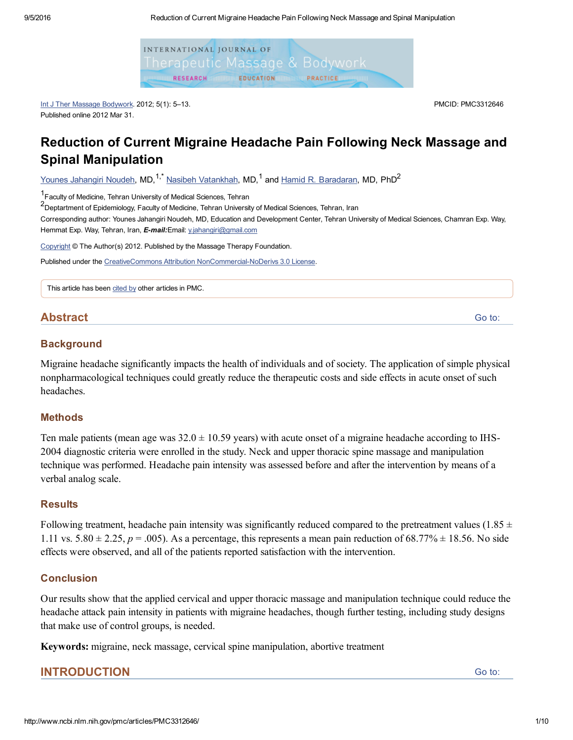

Int J Ther Massage Bodywork. 2012; 5(1): 5–13. Published online 2012 Mar 31.

PMCID: PMC3312646

Go to:

# Reduction of Current Migraine Headache Pain Following Neck Massage and Spinal Manipulation

<u>Younes [Jahangiri](http://www.ncbi.nlm.nih.gov/pubmed/?term=Noudeh%20YJ%5BAuthor%5D&cauthor=true&cauthor_uid=22553478) Noudeh,</u> MD,<sup>1,\*</sup> Nasibeh [Vatankhah](http://www.ncbi.nlm.nih.gov/pubmed/?term=Vatankhah%20N%5BAuthor%5D&cauthor=true&cauthor_uid=22553478), MD,<sup>1</sup> and Hamid R. [Baradaran,](http://www.ncbi.nlm.nih.gov/pubmed/?term=Baradaran%20HR%5BAuthor%5D&cauthor=true&cauthor_uid=22553478) MD, PhD<sup>2</sup>

 $1$ Faculty of Medicine, Tehran University of Medical Sciences, Tehran

2<br>PDeptartment of Epidemiology, Faculty of Medicine, Tehran University of Medical Sciences, Tehran, Iran

Corresponding author: Younes Jahangiri Noudeh, MD, Education and Development Center, Tehran University of Medical Sciences, Chamran Exp. Way, Hemmat Exp. Way, Tehran, Iran, E-mail: Email: [y.jahangiri@gmail.com](mailto:dev@null)

[Copyright](http://www.ncbi.nlm.nih.gov/pmc/about/copyright/) © The Author(s) 2012. Published by the Massage Therapy Foundation.

Published under the CreativeCommons Attribution NonCommercial-NoDerivs 3.0 License

This article has been [cited](http://www.ncbi.nlm.nih.gov/pmc/articles/PMC3312646/citedby/) by other articles in PMC.

# Abstract

# **Background**

Migraine headache significantly impacts the health of individuals and of society. The application of simple physical nonpharmacological techniques could greatly reduce the therapeutic costs and side effects in acute onset of such headaches.

### Methods

Ten male patients (mean age was  $32.0 \pm 10.59$  years) with acute onset of a migraine headache according to IHS-2004 diagnostic criteria were enrolled in the study. Neck and upper thoracic spine massage and manipulation technique was performed. Headache pain intensity was assessed before and after the intervention by means of a verbal analog scale.

### **Results**

Following treatment, headache pain intensity was significantly reduced compared to the pretreatment values (1.85  $\pm$ 1.11 vs. 5.80  $\pm$  2.25, p = .005). As a percentage, this represents a mean pain reduction of 68.77%  $\pm$  18.56. No side effects were observed, and all of the patients reported satisfaction with the intervention.

### Conclusion

Our results show that the applied cervical and upper thoracic massage and manipulation technique could reduce the headache attack pain intensity in patients with migraine headaches, though further testing, including study designs that make use of control groups, is needed.

Keywords: migraine, neck massage, cervical spine manipulation, abortive treatment

# INTRODUCTION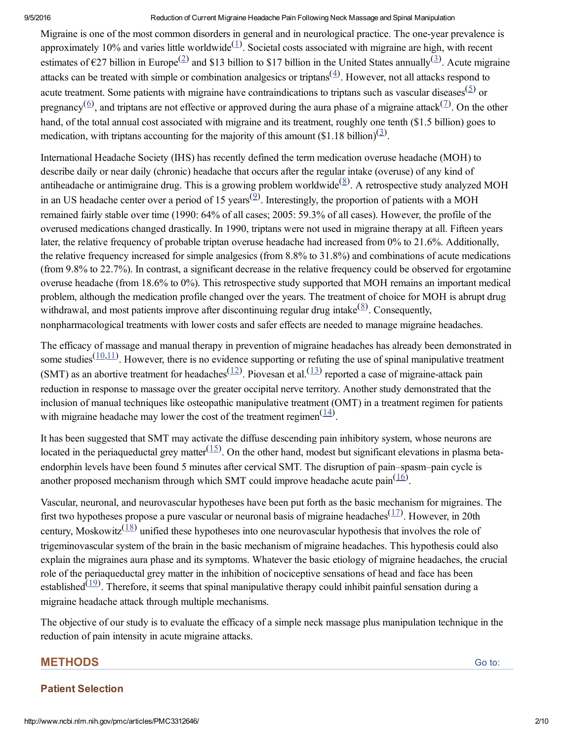Migraine is one of the most common disorders in general and in neurological practice. The one-year prevalence is approximately 10% and varies little worldwide<sup>([1\)](#page-7-0)</sup>. Societal costs associated with migraine are high, with recent estimates of €27 billion in Europe<sup>([2\)](#page-7-1)</sup> and \$13 billion to \$17 billion in the United States annually<sup>([3\)](#page-7-2)</sup>. Acute migraine attacks can be treated with simple or combination analgesics or triptans  $(4)$  $(4)$ . However, not all attacks respond to acute treatment. Some patients with migraine have contraindications to triptans such as vascular diseases<sup>([5\)](#page-8-1)</sup> or pregnancy<sup>([6\)](#page-8-2)</sup>, and triptans are not effective or approved during the aura phase of a migraine attack<sup>([7\)](#page-8-3)</sup>. On the other hand, of the total annual cost associated with migraine and its treatment, roughly one tenth (\$1.5 billion) goes to medication, with triptans accounting for the majority of this amount  $(\$1.18 \text{ billion})^{(\underline{3})}$ .

International Headache Society (IHS) has recently defined the term medication overuse headache (MOH) to describe daily or near daily (chronic) headache that occurs after the regular intake (overuse) of any kind of antiheadache or antimigraine drug. This is a growing problem worldwide<sup>([8\)](#page-8-4)</sup>. A retrospective study analyzed MOH in an US headache center over a period of 15 years<sup>(2)</sup>. Interestingly, the proportion of patients with a MOH remained fairly stable over time (1990: 64% of all cases; 2005: 59.3% of all cases). However, the profile of the overused medications changed drastically. In 1990, triptans were not used in migraine therapy at all. Fifteen years later, the relative frequency of probable triptan overuse headache had increased from 0% to 21.6%. Additionally, the relative frequency increased for simple analgesics (from 8.8% to 31.8%) and combinations of acute medications (from 9.8% to 22.7%). In contrast, a significant decrease in the relative frequency could be observed for ergotamine overuse headache (from 18.6% to 0%). This retrospective study supported that MOH remains an important medical problem, although the medication profile changed over the years. The treatment of choice for MOH is abrupt drug withdrawal, and most patients improve after discontinuing regular drug intake $(\frac{8}{2})$  $(\frac{8}{2})$  $(\frac{8}{2})$ . Consequently, nonpharmacological treatments with lower costs and safer effects are needed to manage migraine headaches.

The efficacy of massage and manual therapy in prevention of migraine headaches has already been demonstrated in some studies  $\frac{(10,11)}{100}$  $\frac{(10,11)}{100}$  $\frac{(10,11)}{100}$  $\frac{(10,11)}{100}$ . However, there is no evidence supporting or refuting the use of spinal manipulative treatment (SMT) as an abortive treatment for headaches  $(12)$  $(12)$ . Piovesan et al.  $(13)$  $(13)$  $(13)$  reported a case of migraine-attack pain reduction in response to massage over the greater occipital nerve territory. Another study demonstrated that the inclusion of manual techniques like osteopathic manipulative treatment (OMT) in a treatment regimen for patients with migraine headache may lower the cost of the treatment regimen  $\frac{(14)}{2}$  $\frac{(14)}{2}$  $\frac{(14)}{2}$ .

It has been suggested that SMT may activate the diffuse descending pain inhibitory system, whose neurons are located in the periaqueductal grey matter  $\frac{(15)}{2}$  $\frac{(15)}{2}$  $\frac{(15)}{2}$ . On the other hand, modest but significant elevations in plasma betaendorphin levels have been found 5 minutes after cervical SMT. The disruption of pain–spasm–pain cycle is another proposed mechanism through which SMT could improve headache acute pain  $\frac{(16)}{2}$  $\frac{(16)}{2}$  $\frac{(16)}{2}$ .

Vascular, neuronal, and neurovascular hypotheses have been put forth as the basic mechanism for migraines. The first two hypotheses propose a pure vascular or neuronal basis of migraine headaches  $(17)$  $(17)$ . However, in 20th century, Moskowitz $\left(\frac{18}{18}\right)$  $\left(\frac{18}{18}\right)$  $\left(\frac{18}{18}\right)$  unified these hypotheses into one neurovascular hypothesis that involves the role of trigeminovascular system of the brain in the basic mechanism of migraine headaches. This hypothesis could also explain the migraines aura phase and its symptoms. Whatever the basic etiology of migraine headaches, the crucial role of the periaqueductal grey matter in the inhibition of nociceptive sensations of head and face has been established $\frac{(19)}{19}$  $\frac{(19)}{19}$  $\frac{(19)}{19}$ . Therefore, it seems that spinal manipulative therapy could inhibit painful sensation during a migraine headache attack through multiple mechanisms.

The objective of our study is to evaluate the efficacy of a simple neck massage plus manipulation technique in the reduction of pain intensity in acute migraine attacks.

# METHODS

# Patient Selection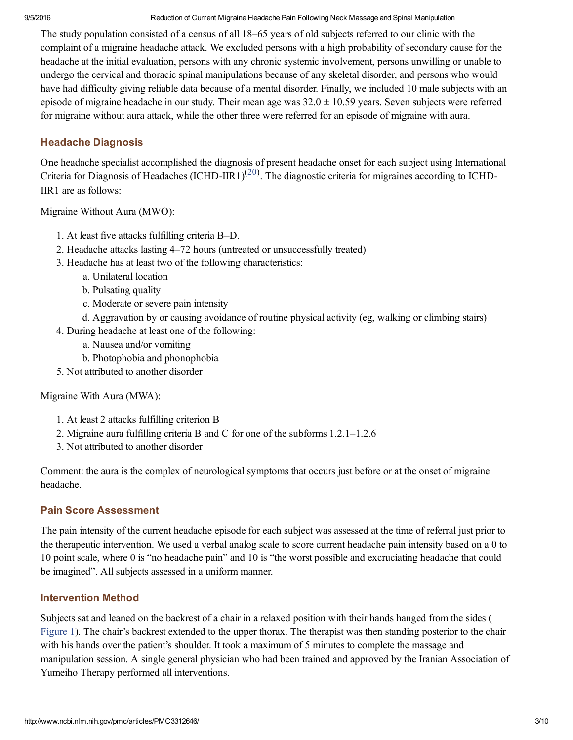The study population consisted of a census of all 18–65 years of old subjects referred to our clinic with the complaint of a migraine headache attack. We excluded persons with a high probability of secondary cause for the headache at the initial evaluation, persons with any chronic systemic involvement, persons unwilling or unable to undergo the cervical and thoracic spinal manipulations because of any skeletal disorder, and persons who would have had difficulty giving reliable data because of a mental disorder. Finally, we included 10 male subjects with an episode of migraine headache in our study. Their mean age was  $32.0 \pm 10.59$  years. Seven subjects were referred for migraine without aura attack, while the other three were referred for an episode of migraine with aura.

# Headache Diagnosis

One headache specialist accomplished the diagnosis of present headache onset for each subject using International Criteria for Diagnosis of Headaches (ICHD-IIR1)<sup>([20\)](#page-8-16)</sup>. The diagnostic criteria for migraines according to ICHD-IIR1 are as follows:

Migraine Without Aura (MWO):

- 1. At least five attacks fulfilling criteria B–D.
- 2. Headache attacks lasting 4–72 hours (untreated or unsuccessfully treated)
- 3. Headache has at least two of the following characteristics:
	- a. Unilateral location
	- b. Pulsating quality
	- c. Moderate or severe pain intensity
	- d. Aggravation by or causing avoidance of routine physical activity (eg, walking or climbing stairs)
- 4. During headache at least one of the following:
	- a. Nausea and/or vomiting
	- b. Photophobia and phonophobia
- 5. Not attributed to another disorder

# Migraine With Aura (MWA):

- 1. At least 2 attacks fulfilling criterion B
- 2. Migraine aura fulfilling criteria B and C for one of the subforms 1.2.1–1.2.6
- 3. Not attributed to another disorder

Comment: the aura is the complex of neurological symptoms that occurs just before or at the onset of migraine headache.

# Pain Score Assessment

The pain intensity of the current headache episode for each subject was assessed at the time of referral just prior to the therapeutic intervention. We used a verbal analog scale to score current headache pain intensity based on a 0 to 10 point scale, where 0 is "no headache pain" and 10 is "the worst possible and excruciating headache that could be imagined". All subjects assessed in a uniform manner.

# Intervention Method

Subjects sat and leaned on the backrest of a chair in a relaxed position with their hands hanged from the sides ( [Figure](http://www.ncbi.nlm.nih.gov/pmc/articles/PMC3312646/figure/f1-ijtmb-5-1-5/) 1). The chair's backrest extended to the upper thorax. The therapist was then standing posterior to the chair with his hands over the patient's shoulder. It took a maximum of 5 minutes to complete the massage and manipulation session. A single general physician who had been trained and approved by the Iranian Association of Yumeiho Therapy performed all interventions.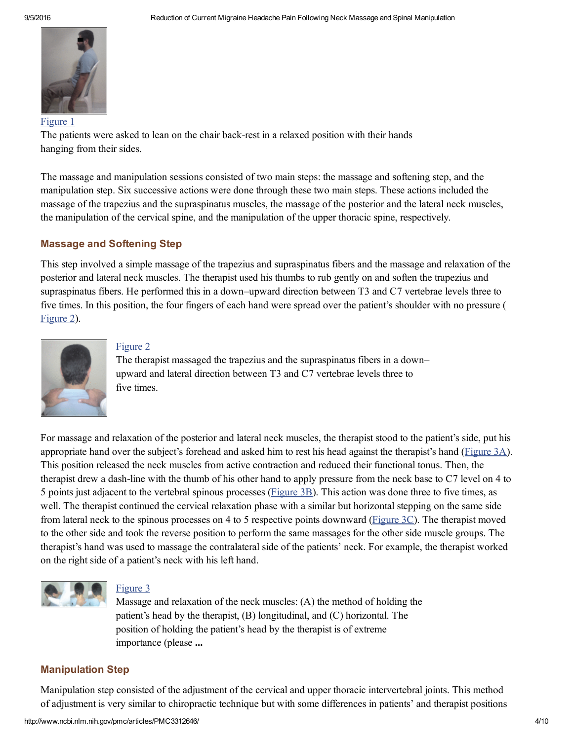

#### [Figure](http://www.ncbi.nlm.nih.gov/pmc/articles/PMC3312646/figure/f1-ijtmb-5-1-5/) 1

The patients were asked to lean on the chair back-rest in a relaxed position with their hands hanging from their sides.

The massage and manipulation sessions consisted of two main steps: the massage and softening step, and the manipulation step. Six successive actions were done through these two main steps. These actions included the massage of the trapezius and the supraspinatus muscles, the massage of the posterior and the lateral neck muscles, the manipulation of the cervical spine, and the manipulation of the upper thoracic spine, respectively.

# Massage and Softening Step

This step involved a simple massage of the trapezius and supraspinatus fibers and the massage and relaxation of the posterior and lateral neck muscles. The therapist used his thumbs to rub gently on and soften the trapezius and supraspinatus fibers. He performed this in a down–upward direction between T3 and C7 vertebrae levels three to five times. In this position, the four fingers of each hand were spread over the patient's shoulder with no pressure ( [Figure](http://www.ncbi.nlm.nih.gov/pmc/articles/PMC3312646/figure/f2-ijtmb-5-1-5/) 2).



# [Figure](http://www.ncbi.nlm.nih.gov/pmc/articles/PMC3312646/figure/f2-ijtmb-5-1-5/) 2

The therapist massaged the trapezius and the supraspinatus fibers in a down– upward and lateral direction between T3 and C7 vertebrae levels three to five times.

For massage and relaxation of the posterior and lateral neck muscles, the therapist stood to the patient's side, put his appropriate hand over the subject's forehead and asked him to rest his head against the therapist's hand ( $Figure 3A$  $Figure 3A$ ). This position released the neck muscles from active contraction and reduced their functional tonus. Then, the therapist drew a dashline with the thumb of his other hand to apply pressure from the neck base to C7 level on 4 to 5 points just adjacent to the vertebral spinous processes ([Figure](http://www.ncbi.nlm.nih.gov/pmc/articles/PMC3312646/figure/f3-ijtmb-5-1-5/) 3B). This action was done three to five times, as well. The therapist continued the cervical relaxation phase with a similar but horizontal stepping on the same side from lateral neck to the spinous processes on 4 to 5 respective points downward ( $Figure 3C$ ). The therapist moved to the other side and took the reverse position to perform the same massages for the other side muscle groups. The therapist's hand was used to massage the contralateral side of the patients' neck. For example, the therapist worked on the right side of a patient's neck with his left hand.



# [Figure](http://www.ncbi.nlm.nih.gov/pmc/articles/PMC3312646/figure/f3-ijtmb-5-1-5/) 3

Massage and relaxation of the neck muscles: (A) the method of holding the patient's head by the therapist, (B) longitudinal, and (C) horizontal. The position of holding the patient's head by the therapist is of extreme importance (please ...

# Manipulation Step

Manipulation step consisted of the adjustment of the cervical and upper thoracic intervertebral joints. This method of adjustment is very similar to chiropractic technique but with some differences in patients' and therapist positions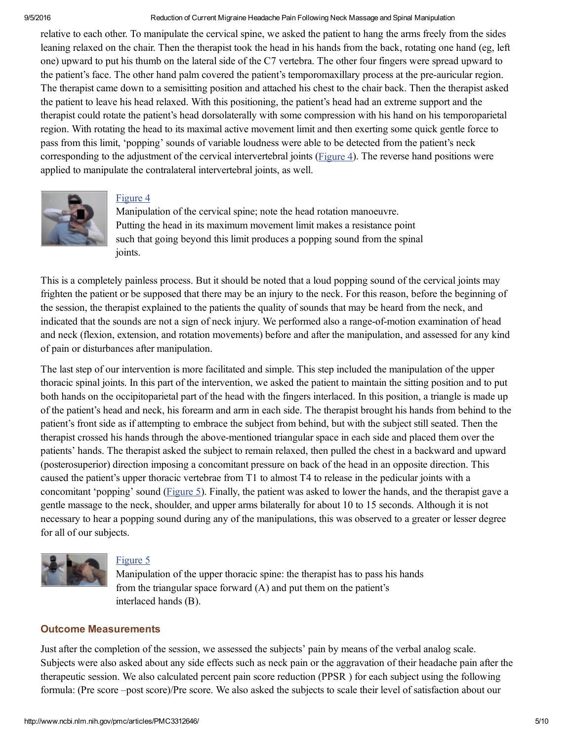relative to each other. To manipulate the cervical spine, we asked the patient to hang the arms freely from the sides leaning relaxed on the chair. Then the therapist took the head in his hands from the back, rotating one hand (eg, left one) upward to put his thumb on the lateral side of the C7 vertebra. The other four fingers were spread upward to the patient's face. The other hand palm covered the patient's temporomaxillary process at the pre-auricular region. The therapist came down to a semisitting position and attached his chest to the chair back. Then the therapist asked the patient to leave his head relaxed. With this positioning, the patient's head had an extreme support and the therapist could rotate the patient's head dorsolaterally with some compression with his hand on his temporoparietal region. With rotating the head to its maximal active movement limit and then exerting some quick gentle force to pass from this limit, 'popping' sounds of variable loudness were able to be detected from the patient's neck corresponding to the adjustment of the cervical intervertebral joints [\(Figure](http://www.ncbi.nlm.nih.gov/pmc/articles/PMC3312646/figure/f4-ijtmb-5-1-5/) 4). The reverse hand positions were applied to manipulate the contralateral intervertebral joints, as well.



### [Figure](http://www.ncbi.nlm.nih.gov/pmc/articles/PMC3312646/figure/f4-ijtmb-5-1-5/) 4

Manipulation of the cervical spine; note the head rotation manoeuvre. Putting the head in its maximum movement limit makes a resistance point such that going beyond this limit produces a popping sound from the spinal joints.

This is a completely painless process. But it should be noted that a loud popping sound of the cervical joints may frighten the patient or be supposed that there may be an injury to the neck. For this reason, before the beginning of the session, the therapist explained to the patients the quality of sounds that may be heard from the neck, and indicated that the sounds are not a sign of neck injury. We performed also a range-of-motion examination of head and neck (flexion, extension, and rotation movements) before and after the manipulation, and assessed for any kind of pain or disturbances after manipulation.

The last step of our intervention is more facilitated and simple. This step included the manipulation of the upper thoracic spinal joints. In this part of the intervention, we asked the patient to maintain the sitting position and to put both hands on the occipitoparietal part of the head with the fingers interlaced. In this position, a triangle is made up of the patient's head and neck, his forearm and arm in each side. The therapist brought his hands from behind to the patient's front side as if attempting to embrace the subject from behind, but with the subject still seated. Then the therapist crossed his hands through the abovementioned triangular space in each side and placed them over the patients' hands. The therapist asked the subject to remain relaxed, then pulled the chest in a backward and upward (posterosuperior) direction imposing a concomitant pressure on back of the head in an opposite direction. This caused the patient's upper thoracic vertebrae from T1 to almost T4 to release in the pedicular joints with a concomitant 'popping' sound [\(Figure](http://www.ncbi.nlm.nih.gov/pmc/articles/PMC3312646/figure/f5-ijtmb-5-1-5/) 5). Finally, the patient was asked to lower the hands, and the therapist gave a gentle massage to the neck, shoulder, and upper arms bilaterally for about 10 to 15 seconds. Although it is not necessary to hear a popping sound during any of the manipulations, this was observed to a greater or lesser degree for all of our subjects.



# [Figure](http://www.ncbi.nlm.nih.gov/pmc/articles/PMC3312646/figure/f5-ijtmb-5-1-5/) 5

Manipulation of the upper thoracic spine: the therapist has to pass his hands from the triangular space forward (A) and put them on the patient's interlaced hands (B).

# Outcome Measurements

Just after the completion of the session, we assessed the subjects' pain by means of the verbal analog scale. Subjects were also asked about any side effects such as neck pain or the aggravation of their headache pain after the therapeutic session. We also calculated percent pain score reduction (PPSR ) for each subject using the following formula: (Pre score –post score)/Pre score. We also asked the subjects to scale their level of satisfaction about our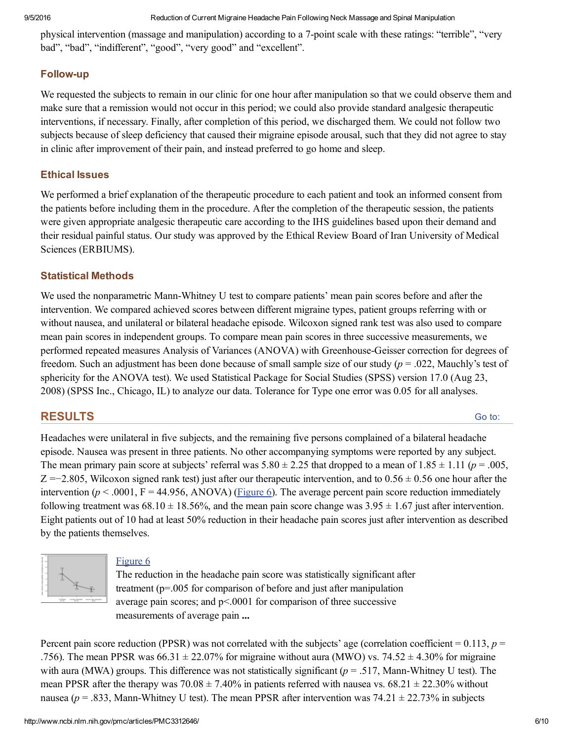physical intervention (massage and manipulation) according to a 7point scale with these ratings: "terrible", "very bad", "bad", "indifferent", "good", "very good" and "excellent".

### **Follow-up**

We requested the subjects to remain in our clinic for one hour after manipulation so that we could observe them and make sure that a remission would not occur in this period; we could also provide standard analgesic therapeutic interventions, if necessary. Finally, after completion of this period, we discharged them. We could not follow two subjects because of sleep deficiency that caused their migraine episode arousal, such that they did not agree to stay in clinic after improvement of their pain, and instead preferred to go home and sleep.

# Ethical Issues

We performed a brief explanation of the therapeutic procedure to each patient and took an informed consent from the patients before including them in the procedure. After the completion of the therapeutic session, the patients were given appropriate analgesic therapeutic care according to the IHS guidelines based upon their demand and their residual painful status. Our study was approved by the Ethical Review Board of Iran University of Medical Sciences (ERBIUMS).

# Statistical Methods

We used the nonparametric Mann-Whitney U test to compare patients' mean pain scores before and after the intervention. We compared achieved scores between different migraine types, patient groups referring with or without nausea, and unilateral or bilateral headache episode. Wilcoxon signed rank test was also used to compare mean pain scores in independent groups. To compare mean pain scores in three successive measurements, we performed repeated measures Analysis of Variances (ANOVA) with Greenhouse-Geisser correction for degrees of freedom. Such an adjustment has been done because of small sample size of our study ( $p = .022$ , Mauchly's test of sphericity for the ANOVA test). We used Statistical Package for Social Studies (SPSS) version 17.0 (Aug 23, 2008) (SPSS Inc., Chicago, IL) to analyze our data. Tolerance for Type one error was 0.05 for all analyses.

# RESULTS

Go to:

Headaches were unilateral in five subjects, and the remaining five persons complained of a bilateral headache episode. Nausea was present in three patients. No other accompanying symptoms were reported by any subject. The mean primary pain score at subjects' referral was  $5.80 \pm 2.25$  that dropped to a mean of  $1.85 \pm 1.11$  ( $p = .005$ ,  $Z = -2.805$ , Wilcoxon signed rank test) just after our therapeutic intervention, and to  $0.56 \pm 0.56$  one hour after the intervention ( $p < .0001$ , F = 44.956, ANOVA) ([Figure](http://www.ncbi.nlm.nih.gov/pmc/articles/PMC3312646/figure/f6-ijtmb-5-1-5/) 6). The average percent pain score reduction immediately following treatment was  $68.10 \pm 18.56\%$ , and the mean pain score change was  $3.95 \pm 1.67$  just after intervention. Eight patients out of 10 had at least 50% reduction in their headache pain scores just after intervention as described by the patients themselves.



### [Figure](http://www.ncbi.nlm.nih.gov/pmc/articles/PMC3312646/figure/f6-ijtmb-5-1-5/) 6

The reduction in the headache pain score was statistically significant after treatment (p=.005 for comparison of before and just after manipulation average pain scores; and p<.0001 for comparison of three successive measurements of average pain ...

Percent pain score reduction (PPSR) was not correlated with the subjects' age (correlation coefficient =  $0.113$ ,  $p =$ .756). The mean PPSR was  $66.31 \pm 22.07\%$  for migraine without aura (MWO) vs. 74.52  $\pm$  4.30% for migraine with aura (MWA) groups. This difference was not statistically significant ( $p = .517$ , Mann-Whitney U test). The mean PPSR after the therapy was  $70.08 \pm 7.40\%$  in patients referred with nausea vs.  $68.21 \pm 22.30\%$  without nausea ( $p = 0.833$ , Mann-Whitney U test). The mean PPSR after intervention was  $74.21 \pm 22.73\%$  in subjects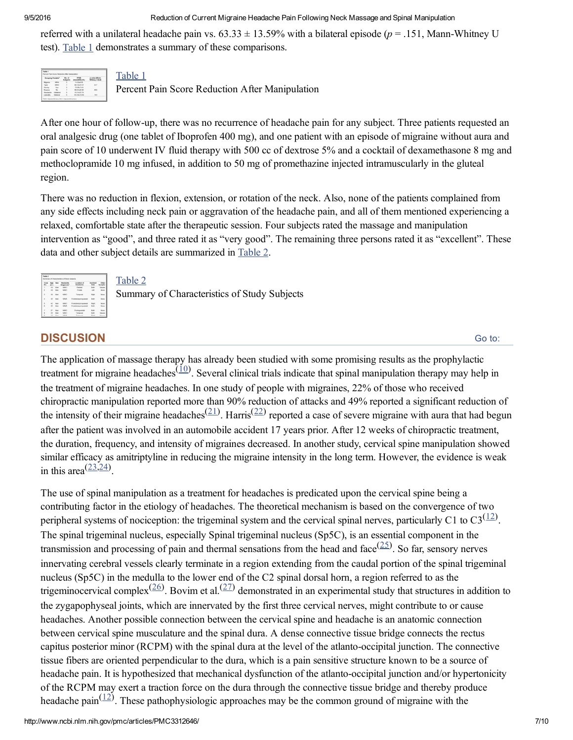referred with a unilateral headache pain vs.  $63.33 \pm 13.59\%$  with a bilateral episode ( $p = .151$ , Mann-Whitney U test). [Table](http://www.ncbi.nlm.nih.gov/pmc/articles/PMC3312646/table/t1-ijtmb-5-1-5/) 1 demonstrates a summary of these comparisons.



[Table](http://www.ncbi.nlm.nih.gov/pmc/articles/PMC3312646/table/t1-ijtmb-5-1-5/) 1

Percent Pain Score Reduction After Manipulation

After one hour of follow-up, there was no recurrence of headache pain for any subject. Three patients requested an oral analgesic drug (one tablet of Iboprofen 400 mg), and one patient with an episode of migraine without aura and pain score of 10 underwent IV fluid therapy with 500 cc of dextrose 5% and a cocktail of dexamethasone 8 mg and methoclopramide 10 mg infused, in addition to 50 mg of promethazine injected intramuscularly in the gluteal region.

There was no reduction in flexion, extension, or rotation of the neck. Also, none of the patients complained from any side effects including neck pain or aggravation of the headache pain, and all of them mentioned experiencing a relaxed, comfortable state after the therapeutic session. Four subjects rated the massage and manipulation intervention as "good", and three rated it as "very good". The remaining three persons rated it as "excellent". These data and other subject details are summarized in [Table](http://www.ncbi.nlm.nih.gov/pmc/articles/PMC3312646/table/t2-ijtmb-5-1-5/) 2.



[Table](http://www.ncbi.nlm.nih.gov/pmc/articles/PMC3312646/table/t2-ijtmb-5-1-5/) 2

Summary of Characteristics of Study Subjects

# **DISCUSION**

The application of massage therapy has already been studied with some promising results as the prophylactic treatment for migraine headaches  $(10)$  $(10)$ . Several clinical trials indicate that spinal manipulation therapy may help in the treatment of migraine headaches. In one study of people with migraines, 22% of those who received chiropractic manipulation reported more than 90% reduction of attacks and 49% reported a significant reduction of the intensity of their migraine headaches  $(21)$  $(21)$  $(21)$ . Harris  $(22)$  $(22)$  reported a case of severe migraine with aura that had begun after the patient was involved in an automobile accident 17 years prior. After 12 weeks of chiropractic treatment, the duration, frequency, and intensity of migraines decreased. In another study, cervical spine manipulation showed similar efficacy as amitriptyline in reducing the migraine intensity in the long term. However, the evidence is weak in this area<sup> $(\frac{23,24}{2})$  $(\frac{23,24}{2})$  $(\frac{23,24}{2})$ </sup>.

The use of spinal manipulation as a treatment for headaches is predicated upon the cervical spine being a contributing factor in the etiology of headaches. The theoretical mechanism is based on the convergence of two peripheral systems of nociception: the trigeminal system and the cervical spinal nerves, particularly C1 to  $C3 \frac{(12)}{2}$  $C3 \frac{(12)}{2}$  $C3 \frac{(12)}{2}$ . The spinal trigeminal nucleus, especially Spinal trigeminal nucleus (Sp5C), is an essential component in the transmission and processing of pain and thermal sensations from the head and face  $(25)$  $(25)$ . So far, sensory nerves innervating cerebral vessels clearly terminate in a region extending from the caudal portion of the spinal trigeminal nucleus (Sp5C) in the medulla to the lower end of the C2 spinal dorsal horn, a region referred to as the trigeminocervical complex $(26)$  $(26)$ . Bovim et al. $(27)$  $(27)$  $(27)$  demonstrated in an experimental study that structures in addition to the zygapophyseal joints, which are innervated by the first three cervical nerves, might contribute to or cause headaches. Another possible connection between the cervical spine and headache is an anatomic connection between cervical spine musculature and the spinal dura. A dense connective tissue bridge connects the rectus capitus posterior minor (RCPM) with the spinal dura at the level of the atlanto-occipital junction. The connective tissue fibers are oriented perpendicular to the dura, which is a pain sensitive structure known to be a source of headache pain. It is hypothesized that mechanical dysfunction of the atlanto-occipital junction and/or hypertonicity of the RCPM may exert a traction force on the dura through the connective tissue bridge and thereby produce headache pain<sup>([12](#page-8-8))</sup>. These pathophysiologic approaches may be the common ground of migraine with the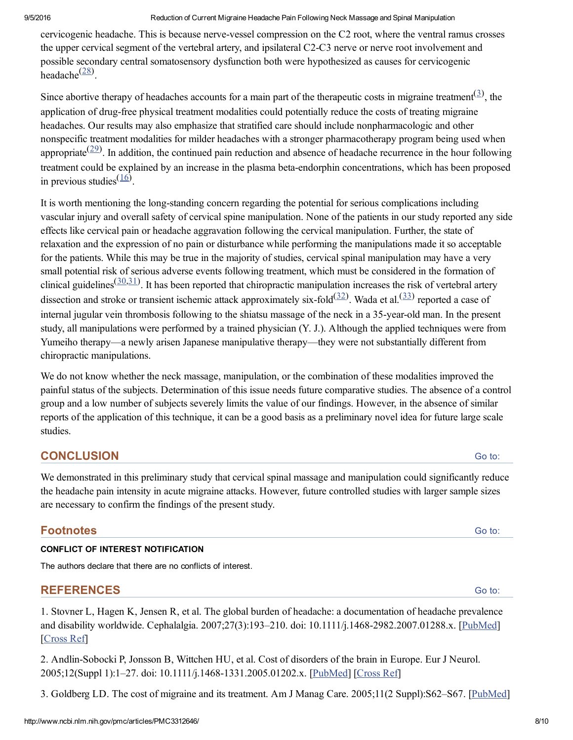cervicogenic headache. This is because nerve-vessel compression on the C2 root, where the ventral ramus crosses the upper cervical segment of the vertebral artery, and ipsilateral C2-C3 nerve or nerve root involvement and possible secondary central somatosensory dysfunction both were hypothesized as causes for cervicogenic headache $(28)$  $(28)$ .

Since abortive therapy of headaches accounts for a main part of the therapeutic costs in migraine treatment<sup>([3\)](#page-7-2)</sup>, the application of drug-free physical treatment modalities could potentially reduce the costs of treating migraine headaches. Our results may also emphasize that stratified care should include nonpharmacologic and other nonspecific treatment modalities for milder headaches with a stronger pharmacotherapy program being used when appropriate  $(29)$  $(29)$ . In addition, the continued pain reduction and absence of headache recurrence in the hour following treatment could be explained by an increase in the plasma beta-endorphin concentrations, which has been proposed in previous studies  $\frac{(16)}{2}$  $\frac{(16)}{2}$  $\frac{(16)}{2}$ .

It is worth mentioning the long-standing concern regarding the potential for serious complications including vascular injury and overall safety of cervical spine manipulation. None of the patients in our study reported any side effects like cervical pain or headache aggravation following the cervical manipulation. Further, the state of relaxation and the expression of no pain or disturbance while performing the manipulations made it so acceptable for the patients. While this may be true in the majority of studies, cervical spinal manipulation may have a very small potential risk of serious adverse events following treatment, which must be considered in the formation of clinical guidelines  $(30,31)$  $(30,31)$  $(30,31)$ . It has been reported that chiropractic manipulation increases the risk of vertebral artery dissection and stroke or transient ischemic attack approximately six-fold  $(32)$  $(32)$ . Wada et al.  $(33)$  $(33)$  $(33)$  reported a case of internal jugular vein thrombosis following to the shiatsu massage of the neck in a 35-year-old man. In the present study, all manipulations were performed by a trained physician (Y. J.). Although the applied techniques were from Yumeiho therapy—a newly arisen Japanese manipulative therapy—they were not substantially different from chiropractic manipulations.

We do not know whether the neck massage, manipulation, or the combination of these modalities improved the painful status of the subjects. Determination of this issue needs future comparative studies. The absence of a control group and a low number of subjects severely limits the value of our findings. However, in the absence of similar reports of the application of this technique, it can be a good basis as a preliminary novel idea for future large scale studies.

# **CONCLUSION**

We demonstrated in this preliminary study that cervical spinal massage and manipulation could significantly reduce the headache pain intensity in acute migraine attacks. However, future controlled studies with larger sample sizes are necessary to confirm the findings of the present study.

# **Footnotes**

### CONFLICT OF INTEREST NOTIFICATION

The authors declare that there are no conflicts of interest.

# REFERENCES

<span id="page-7-0"></span>1. Stovner L, Hagen K, Jensen R, et al. The global burden of headache: a documentation of headache prevalence and disability worldwide. Cephalalgia. 2007;27(3):193-210. doi: 10.1111/j.1468-2982.2007.01288.x. [\[PubMed](http://www.ncbi.nlm.nih.gov/pubmed/17381554)] [\[Cross](http://dx.doi.org/10.1111%2Fj.1468-2982.2007.01288.x) Ref]

<span id="page-7-1"></span>2. Andlin-Sobocki P, Jonsson B, Wittchen HU, et al. Cost of disorders of the brain in Europe. Eur J Neurol. 2005;12(Suppl 1):1–27. doi: 10.1111/j.14681331.2005.01202.x. [\[PubMed\]](http://www.ncbi.nlm.nih.gov/pubmed/15877774) [\[Cross](http://dx.doi.org/10.1111%2Fj.1468-1331.2005.01202.x) Ref]

<span id="page-7-2"></span>3. Goldberg LD. The cost of migraine and its treatment. Am J Manag Care. 2005;11(2 Suppl):S62–S67. [\[PubMed\]](http://www.ncbi.nlm.nih.gov/pubmed/16095269)

Go to:

Go to: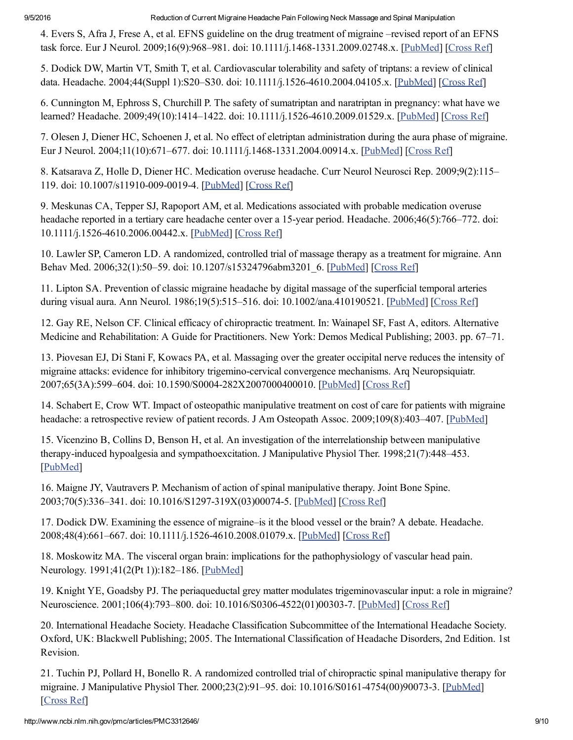<span id="page-8-0"></span>4. Evers S, Afra J, Frese A, et al. EFNS guideline on the drug treatment of migraine –revised report of an EFNS task force. Eur J Neurol. 2009;16(9):968–981. doi: 10.1111/j.14681331.2009.02748.x. [\[PubMed\]](http://www.ncbi.nlm.nih.gov/pubmed/19708964) [\[Cross](http://dx.doi.org/10.1111%2Fj.1468-1331.2009.02748.x) Ref]

<span id="page-8-1"></span>5. Dodick DW, Martin VT, Smith T, et al. Cardiovascular tolerability and safety of triptans: a review of clinical data. Headache. 2004;44(Suppl 1):S20-S30. doi: 10.1111/j.1526-4610.2004.04105.x. [\[PubMed\]](http://www.ncbi.nlm.nih.gov/pubmed/15149490) [\[Cross](http://dx.doi.org/10.1111%2Fj.1526-4610.2004.04105.x) Ref]

<span id="page-8-2"></span>6. Cunnington M, Ephross S, Churchill P. The safety of sumatriptan and naratriptan in pregnancy: what have we learned? Headache. 2009;49(10):1414–1422. doi: 10.1111/j.15264610.2009.01529.x. [\[PubMed](http://www.ncbi.nlm.nih.gov/pubmed/19804390)] [\[Cross](http://dx.doi.org/10.1111%2Fj.1526-4610.2009.01529.x) Ref]

<span id="page-8-3"></span>7. Olesen J, Diener HC, Schoenen J, et al. No effect of eletriptan administration during the aura phase of migraine. Eur J Neurol. 2004;11(10):671–677. doi: 10.1111/j.14681331.2004.00914.x. [\[PubMed\]](http://www.ncbi.nlm.nih.gov/pubmed/15469451) [\[Cross](http://dx.doi.org/10.1111%2Fj.1468-1331.2004.00914.x) Ref]

<span id="page-8-4"></span>8. Katsarava Z, Holle D, Diener HC. Medication overuse headache. Curr Neurol Neurosci Rep. 2009;9(2):115– 119. doi: 10.1007/s11910-009-0019-4. [\[PubMed\]](http://www.ncbi.nlm.nih.gov/pubmed/19268034) [\[Cross](http://dx.doi.org/10.1007%2Fs11910-009-0019-4) Ref]

<span id="page-8-5"></span>9. Meskunas CA, Tepper SJ, Rapoport AM, et al. Medications associated with probable medication overuse headache reported in a tertiary care headache center over a 15-year period. Headache. 2006;46(5):766–772. doi: 10.1111/j.15264610.2006.00442.x. [\[PubMed\]](http://www.ncbi.nlm.nih.gov/pubmed/16643579) [\[Cross](http://dx.doi.org/10.1111%2Fj.1526-4610.2006.00442.x) Ref]

<span id="page-8-6"></span>10. Lawler SP, Cameron LD. A randomized, controlled trial of massage therapy as a treatment for migraine. Ann Behav Med. 2006;32(1):50-59. doi: 10.1207/s15324796abm3201 6. [\[PubMed](http://www.ncbi.nlm.nih.gov/pubmed/16827629)] [\[Cross](http://dx.doi.org/10.1207%2Fs15324796abm3201_6) Ref]

<span id="page-8-7"></span>11. Lipton SA. Prevention of classic migraine headache by digital massage of the superficial temporal arteries during visual aura. Ann Neurol. 1986;19(5):515–516. doi: 10.1002/ana.410190521. [[PubMed](http://www.ncbi.nlm.nih.gov/pubmed/3717913)] [\[Cross](http://dx.doi.org/10.1002%2Fana.410190521) Ref]

<span id="page-8-8"></span>12. Gay RE, Nelson CF. Clinical efficacy of chiropractic treatment. In: Wainapel SF, Fast A, editors. Alternative Medicine and Rehabilitation: A Guide for Practitioners. New York: Demos Medical Publishing; 2003. pp. 67–71.

<span id="page-8-9"></span>13. Piovesan EJ, Di Stani F, Kowacs PA, et al. Massaging over the greater occipital nerve reduces the intensity of migraine attacks: evidence for inhibitory trigemino-cervical convergence mechanisms. Arq Neuropsiquiatr. 2007;65(3A):599–604. doi: 10.1590/S0004282X2007000400010. [\[PubMed](http://www.ncbi.nlm.nih.gov/pubmed/17876398)] [\[Cross](http://dx.doi.org/10.1590%2FS0004-282X2007000400010) Ref]

<span id="page-8-10"></span>14. Schabert E, Crow WT. Impact of osteopathic manipulative treatment on cost of care for patients with migraine headache: a retrospective review of patient records. J Am Osteopath Assoc. 2009;109(8):403–407. [[PubMed\]](http://www.ncbi.nlm.nih.gov/pubmed/19706829)

<span id="page-8-11"></span>15. Vicenzino B, Collins D, Benson H, et al. An investigation of the interrelationship between manipulative therapy-induced hypoalgesia and sympathoexcitation. J Manipulative Physiol Ther. 1998;21(7):448–453. [\[PubMed\]](http://www.ncbi.nlm.nih.gov/pubmed/9777544)

<span id="page-8-12"></span>16. Maigne JY, Vautravers P. Mechanism of action of spinal manipulative therapy. Joint Bone Spine. 2003;70(5):336–341. doi: 10.1016/S1297319X(03)000745. [\[PubMed\]](http://www.ncbi.nlm.nih.gov/pubmed/14563460) [\[Cross](http://dx.doi.org/10.1016%2FS1297-319X(03)00074-5) Ref]

<span id="page-8-13"></span>17. Dodick DW. Examining the essence of migraine–is it the blood vessel or the brain? A debate. Headache. 2008;48(4):661–667. doi: 10.1111/j.15264610.2008.01079.x. [\[PubMed\]](http://www.ncbi.nlm.nih.gov/pubmed/18377395) [[Cross](http://dx.doi.org/10.1111%2Fj.1526-4610.2008.01079.x) Ref]

<span id="page-8-14"></span>18. Moskowitz MA. The visceral organ brain: implications for the pathophysiology of vascular head pain. Neurology. 1991;41(2(Pt 1)):182–186. [\[PubMed\]](http://www.ncbi.nlm.nih.gov/pubmed/1992359)

<span id="page-8-15"></span>19. Knight YE, Goadsby PJ. The periaqueductal grey matter modulates trigeminovascular input: a role in migraine? Neuroscience. 2001;106(4):793–800. doi: 10.1016/S03064522(01)003037. [\[PubMed\]](http://www.ncbi.nlm.nih.gov/pubmed/11682164) [\[Cross](http://dx.doi.org/10.1016%2FS0306-4522(01)00303-7) Ref]

<span id="page-8-16"></span>20. International Headache Society. Headache Classification Subcommittee of the International Headache Society. Oxford, UK: Blackwell Publishing; 2005. The International Classification of Headache Disorders, 2nd Edition. 1st Revision.

<span id="page-8-17"></span>21. Tuchin PJ, Pollard H, Bonello R. A randomized controlled trial of chiropractic spinal manipulative therapy for migraine. J Manipulative Physiol Ther. 2000;23(2):91–95. doi: 10.1016/S0161-4754(00)90073-3. [\[PubMed\]](http://www.ncbi.nlm.nih.gov/pubmed/10714533) [\[Cross](http://dx.doi.org/10.1016%2FS0161-4754(00)90073-3) Ref]